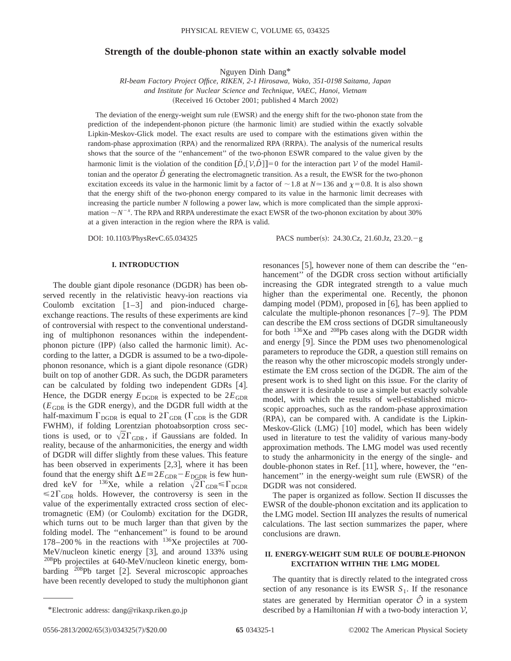# **Strength of the double-phonon state within an exactly solvable model**

Nguyen Dinh Dang\*

*RI-beam Factory Project Office, RIKEN, 2-1 Hirosawa, Wako, 351-0198 Saitama, Japan and Institute for Nuclear Science and Technique, VAEC, Hanoi, Vietnam* (Received 16 October 2001; published 4 March 2002)

The deviation of the energy-weight sum rule (EWSR) and the energy shift for the two-phonon state from the prediction of the independent-phonon picture (the harmonic limit) are studied within the exactly solvable Lipkin-Meskov-Glick model. The exact results are used to compare with the estimations given within the random-phase approximation (RPA) and the renormalized RPA (RRPA). The analysis of the numerical results shows that the source of the ''enhancement'' of the two-phonon ESWR compared to the value given by the harmonic limit is the violation of the condition  $[\hat{D}, [\hat{V}, \hat{D}]] = 0$  for the interaction part V of the model Hamiltonian and the operator  $\hat{D}$  generating the electromagnetic transition. As a result, the EWSR for the two-phonon excitation exceeds its value in the harmonic limit by a factor of  $\sim$  1.8 at *N* $\simeq$  136 and  $\chi$ = 0.8. It is also shown that the energy shift of the two-phonon energy compared to its value in the harmonic limit decreases with increasing the particle number *N* following a power law, which is more complicated than the simple approximation  $\sim N^{-x}$ . The RPA and RRPA underestimate the exact EWSR of the two-phonon excitation by about 30% at a given interaction in the region where the RPA is valid.

DOI: 10.1103/PhysRevC.65.034325 PACS number(s): 24.30.Cz, 21.60.Jz, 23.20.-g

resonances [5], however none of them can describe the "en-

### **I. INTRODUCTION**

The double giant dipole resonance (DGDR) has been observed recently in the relativistic heavy-ion reactions via Coulomb excitation  $[1-3]$  and pion-induced chargeexchange reactions. The results of these experiments are kind of controversial with respect to the conventional understanding of multiphonon resonances within the independentphonon picture  $(IPP)$  (also called the harmonic limit). According to the latter, a DGDR is assumed to be a two-dipolephonon resonance, which is a giant dipole resonance (GDR) built on top of another GDR. As such, the DGDR parameters can be calculated by folding two independent GDRs [4]. Hence, the DGDR energy  $E_{\text{DGDR}}$  is expected to be  $2E_{\text{GDR}}$  $(E<sub>GDR</sub>$  is the GDR energy), and the DGDR full width at the half-maximum  $\Gamma_{\text{DGDR}}$  is equal to  $2\Gamma_{\text{GDR}}$  ( $\Gamma_{\text{GDR}}$  is the GDR FWHM), if folding Lorentzian photoabsorption cross sections is used, or to  $\sqrt{2}\Gamma_{\text{GDR}}$ , if Gaussians are folded. In reality, because of the anharmonicities, the energy and width of DGDR will differ slightly from these values. This feature has been observed in experiments  $[2,3]$ , where it has been found that the energy shift  $\Delta E = 2E_{GDR} - E_{DGDR}$  is few hundred keV for <sup>136</sup>Xe, while a relation  $\sqrt{2}\Gamma_{\text{GDR}} \leq \Gamma_{\text{DODR}}$  $\leq 2\Gamma_{\text{GDR}}$  holds. However, the controversy is seen in the value of the experimentally extracted cross section of electromagnetic (EM) (or Coulomb) excitation for the DGDR, which turns out to be much larger than that given by the folding model. The ''enhancement'' is found to be around 178–200 % in the reactions with  $136$ Xe projectiles at 700-MeV/nucleon kinetic energy  $[3]$ , and around 133% using 208Pb projectiles at 640-MeV/nucleon kinetic energy, bombarding  $^{208}Pb$  target [2]. Several microscopic approaches have been recently developed to study the multiphonon giant hancement" of the DGDR cross section without artificially increasing the GDR integrated strength to a value much higher than the experimental one. Recently, the phonon damping model (PDM), proposed in  $[6]$ , has been applied to calculate the multiple-phonon resonances  $[7-9]$ . The PDM can describe the EM cross sections of DGDR simultaneously for both 136Xe and 208Pb cases along with the DGDR width and energy  $[9]$ . Since the PDM uses two phenomenological parameters to reproduce the GDR, a question still remains on the reason why the other microscopic models strongly underestimate the EM cross section of the DGDR. The aim of the present work is to shed light on this issue. For the clarity of the answer it is desirable to use a simple but exactly solvable model, with which the results of well-established microscopic approaches, such as the random-phase approximation  $(RPA)$ , can be compared with. A candidate is the Lipkin-Meskov-Glick  $(LMG)$  [10] model, which has been widely used in literature to test the validity of various many-body approximation methods. The LMG model was used recently to study the anharmonicity in the energy of the single- and double-phonon states in Ref.  $[11]$ , where, however, the "enhancement" in the energy-weight sum rule (EWSR) of the DGDR was not considered.

The paper is organized as follow. Section II discusses the EWSR of the double-phonon excitation and its application to the LMG model. Section III analyzes the results of numerical calculations. The last section summarizes the paper, where conclusions are drawn.

# **II. ENERGY-WEIGHT SUM RULE OF DOUBLE-PHONON EXCITATION WITHIN THE LMG MODEL**

The quantity that is directly related to the integrated cross section of any resonance is its EWSR  $S<sub>1</sub>$ . If the resonance states are generated by Hermitian operator  $\hat{\mathcal{O}}$  in a system \*Electronic address: dang@rikaxp.riken.go.jp described by a Hamiltonian *H* with a two-body interaction  $V$ ,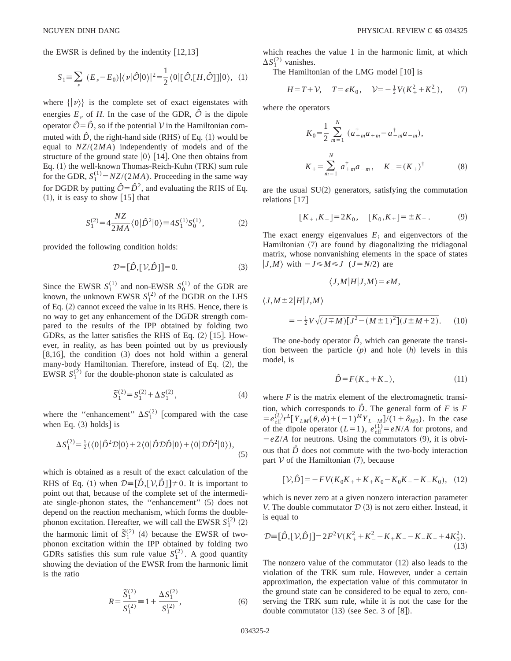the EWSR is defined by the indentity  $|12,13|$ 

$$
S_1 = \sum_{\nu} (E_{\nu} - E_0) |\langle \nu | \hat{\mathcal{O}} | 0 \rangle|^2 = \frac{1}{2} \langle 0 | [\hat{\mathcal{O}}, [H, \hat{\mathcal{O}}]] | 0 \rangle, (1)
$$

where  $\{|\nu\rangle\}$  is the complete set of exact eigenstates with energies  $E_v$  of *H*. In the case of the GDR,  $\hat{\mathcal{O}}$  is the dipole operator  $\hat{\mathcal{O}} = \hat{D}$ , so if the potential V in the Hamiltonian commuted with  $\hat{D}$ , the right-hand side (RHS) of Eq. (1) would be equal to *NZ*/(2*MA*) independently of models and of the structure of the ground state  $|0\rangle$  [14]. One then obtains from Eq. (1) the well-known Thomas-Reich-Kuhn (TRK) sum rule for the GDR,  $S_1^{(1)} = NZ/(2MA)$ . Proceeding in the same way for DGDR by putting  $\hat{O} = \hat{D}^2$ , and evaluating the RHS of Eq.  $(1)$ , it is easy to show  $\lceil 15 \rceil$  that

$$
S_1^{(2)} = 4 \frac{NZ}{2MA} \langle 0|\hat{D}^2|0\rangle \equiv 4 S_1^{(1)} S_0^{(1)}, \tag{2}
$$

provided the following condition holds:

$$
\mathcal{D} = [\hat{D}, [\mathcal{V}, \hat{D}]] = 0. \tag{3}
$$

Since the EWSR  $S_1^{(1)}$  and non-EWSR  $S_0^{(1)}$  of the GDR are known, the unknown EWSR  $S_1^{(2)}$  of the DGDR on the LHS of Eq.  $(2)$  cannot exceed the value in its RHS. Hence, there is no way to get any enhancement of the DGDR strength compared to the results of the IPP obtained by folding two GDRs, as the latter satisfies the RHS of Eq.  $(2)$  [15]. However, in reality, as has been pointed out by us previously  $[8,16]$ , the condition  $(3)$  does not hold within a general many-body Hamiltonian. Therefore, instead of Eq. (2), the EWSR  $S_1^{(2)}$  for the double-phonon state is calculated as

$$
\tilde{S}_1^{(2)} = S_1^{(2)} + \Delta S_1^{(2)},\tag{4}
$$

where the "enhancement"  $\Delta S_1^{(2)}$  [compared with the case when Eq.  $(3)$  holds is

$$
\Delta S_1^{(2)} = \frac{1}{2} (\langle 0|\hat{D}^2 \mathcal{D}|0\rangle + 2\langle 0|\hat{D} \mathcal{D}\hat{D}|0\rangle + \langle 0|\mathcal{D}\hat{D}^2|0\rangle), \tag{5}
$$

which is obtained as a result of the exact calculation of the RHS of Eq. (1) when  $\mathcal{D} = [\hat{D}, [\mathcal{V}, \hat{D}]] \neq 0$ . It is important to point out that, because of the complete set of the intermediate single-phonon states, the "enhancement"  $(5)$  does not depend on the reaction mechanism, which forms the doublephonon excitation. Hereafter, we will call the EWSR  $S_1^{(2)}$  (2) the harmonic limit of  $\tilde{S}_1^{(2)}$  (4) because the EWSR of twophonon excitation within the IPP obtained by folding two GDRs satisfies this sum rule value  $S_1^{(2)}$ . A good quantity showing the deviation of the EWSR from the harmonic limit is the ratio

$$
R = \frac{\tilde{S}_1^{(2)}}{S_1^{(2)}} = 1 + \frac{\Delta S_1^{(2)}}{S_1^{(2)}},
$$
\n(6)

which reaches the value 1 in the harmonic limit, at which  $\Delta S_1^{(2)}$  vanishes.

The Hamiltonian of the LMG model  $[10]$  is

$$
H = T + V, \quad T = \epsilon K_0, \quad V = -\frac{1}{2}V(K_+^2 + K_-^2), \quad (7)
$$

where the operators

 $\langle J, M \pm 2 | H | J, M \rangle$ 

$$
K_0 = \frac{1}{2} \sum_{m=1}^{N} (a_{+m}^{\dagger} a_{+m} - a_{-m}^{\dagger} a_{-m}),
$$
  
\n
$$
K_+ = \sum_{m=1}^{N} a_{+m}^{\dagger} a_{-m}, \quad K_- = (K_+)^{\dagger}
$$
 (8)

are the usual  $SU(2)$  generators, satisfying the commutation relations  $|17|$ 

$$
[K_+, K_-] = 2K_0, \quad [K_0, K_{\pm}] = \pm K_{\pm}.
$$
 (9)

The exact energy eigenvalues  $E_i$  and eigenvectors of the Hamiltonian  $(7)$  are found by diagonalizing the tridiagonal matrix, whose nonvanishing elements in the space of states  $|J,M\rangle$  with  $-J \leq M \leq J$  ( $J=N/2$ ) are

$$
\langle J,M|H|J,M\rangle = \epsilon M,
$$

$$
= -\frac{1}{2}V\sqrt{(J \mp M)[J^2 - (M \pm 1)^2](J \pm M + 2)}.
$$
 (10)

The one-body operator  $\hat{D}$ , which can generate the transition between the particle  $(p)$  and hole  $(h)$  levels in this model, is

$$
\hat{D} = F(K_{+} + K_{-}),\tag{11}
$$

where  $F$  is the matrix element of the electromagnetic transition, which corresponds to  $\hat{D}$ . The general form of *F* is *F*  $= e^{(L)}_{\text{eff}} r^L [Y_{LM}(\theta, \phi) + (-1)^M Y_{L-M}]/(1 + \delta_{M0})$ . In the case of the dipole operator  $(L=1)$ ,  $e_{\text{eff}}^{(1)} = eN/A$  for protons, and  $-eZ/A$  for neutrons. Using the commutators (9), it is obvious that  $\hat{D}$  does not commute with the two-body interaction part  $V$  of the Hamiltonian  $(7)$ , because

$$
[\mathcal{V}, \hat{D}] = -FV(K_0K_+ + K_+K_0 - K_0K_- - K_-K_0), \quad (12)
$$

which is never zero at a given nonzero interaction parameter *V*. The double commutator  $D(3)$  is not zero either. Instead, it is equal to

$$
\mathcal{D} = [\hat{D}, [\mathcal{V}, \hat{D}]] = 2F^2V(K_+^2 + K_-^2 - K_+K_- - K_-K_+ + 4K_0^2). \tag{13}
$$

The nonzero value of the commutator  $(12)$  also leads to the violation of the TRK sum rule. However, under a certain approximation, the expectation value of this commutator in the ground state can be considered to be equal to zero, conserving the TRK sum rule, while it is not the case for the double commutator  $(13)$  (see Sec. 3 of  $[8]$ ).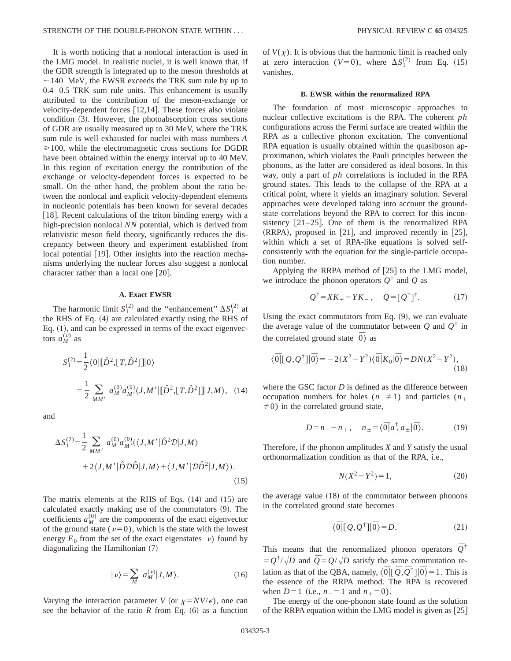It is worth noticing that a nonlocal interaction is used in the LMG model. In realistic nuclei, it is well known that, if the GDR strength is integrated up to the meson thresholds at  $\sim$  140 MeV, the EWSR exceeds the TRK sum rule by up to 0.4–0.5 TRK sum rule units. This enhancement is usually attributed to the contribution of the meson-exchange or velocity-dependent forces  $[12,14]$ . These forces also violate  $condition (3)$ . However, the photoabsorption cross sections of GDR are usually measured up to 30 MeV, where the TRK sum rule is well exhausted for nuclei with mass numbers *A*  $\geq 100$ , while the electromagnetic cross sections for DGDR have been obtained within the energy interval up to 40 MeV. In this region of excitation energy the contribution of the exchange or velocity-dependent forces is expected to be small. On the other hand, the problem about the ratio between the nonlocal and explicit velocity-dependent elements in nucleonic potentials has been known for several decades [18]. Recent calculations of the triton binding energy with a high-precision nonlocal *NN* potential, which is derived from relativistic meson field theory, significantly reduces the discrepancy between theory and experiment established from local potential  $[19]$ . Other insights into the reaction mechanisms underlying the nuclear forces also suggest a nonlocal character rather than a local one  $[20]$ .

### **A. Exact EWSR**

The harmonic limit  $S_1^{(2)}$  and the "enhancement"  $\Delta S_1^{(2)}$  at the RHS of Eq.  $(4)$  are calculated exactly using the RHS of Eq.  $(1)$ , and can be expressed in terms of the exact eigenvectors  $a_M^{(\nu)}$  as

$$
S_1^{(2)} = \frac{1}{2} \langle 0 | [\hat{D}^2, [T, \hat{D}^2]] | 0 \rangle
$$
  
= 
$$
\frac{1}{2} \sum_{MM'} a_M^{(0)} a_{M'}^{(0)} \langle J, M' | [\hat{D}^2, [T, \hat{D}^2]] | J, M \rangle, (14)
$$

and

$$
\Delta S_1^{(2)} = \frac{1}{2} \sum_{MM'} a_M^{(0)} a_{M'}^{(0)}(\langle J, M' | \hat{D}^2 \mathcal{D} | J, M \rangle + 2\langle J, M' | \hat{D} \mathcal{D} \hat{D} | J, M \rangle + \langle J, M' | \mathcal{D} \hat{D}^2 | J, M \rangle).
$$
\n(15)

The matrix elements at the RHS of Eqs.  $(14)$  and  $(15)$  are calculated exactly making use of the commutators  $(9)$ . The coefficients  $a_M^{(0)}$  are the components of the exact eigenvector of the ground state ( $\nu=0$ ), which is the state with the lowest energy  $E_0$  from the set of the exact eigenstates  $|\nu\rangle$  found by diagonalizing the Hamiltonian  $(7)$ 

$$
|\nu\rangle = \sum_{M} a_{M}^{(\nu)} |J, M\rangle. \tag{16}
$$

Varying the interaction parameter *V* (or  $\chi = NV/\epsilon$ ), one can see the behavior of the ratio  $R$  from Eq.  $(6)$  as a function of  $V(\chi)$ . It is obvious that the harmonic limit is reached only at zero interaction ( $V=0$ ), where  $\Delta S_1^{(2)}$  from Eq. (15) vanishes.

#### **B. EWSR within the renormalized RPA**

The foundation of most microscopic approaches to nuclear collective excitations is the RPA. The coherent *ph* configurations across the Fermi surface are treated within the RPA as a collective phonon excitation. The conventional RPA equation is usually obtained within the quasiboson approximation, which violates the Pauli principles between the phonons, as the latter are considered as ideal bosons. In this way, only a part of *ph* correlations is included in the RPA ground states. This leads to the collapse of the RPA at a critical point, where it yields an imaginary solution. Several approaches were developed taking into account the groundstate correlations beyond the RPA to correct for this inconsistency  $[21-25]$ . One of them is the renormalized RPA  $(RRPA)$ , proposed in [21], and improved recently in [25], within which a set of RPA-like equations is solved selfconsistently with the equation for the single-particle occupation number.

Applying the RRPA method of  $[25]$  to the LMG model, we introduce the phonon operators  $Q^{\dagger}$  and *Q* as

$$
Q^{\dagger} = XK_{+} - YK_{-}, \quad Q = [Q^{\dagger}]^{\dagger}.
$$
 (17)

Using the exact commutators from Eq.  $(9)$ , we can evaluate the average value of the commutator between  $Q$  and  $Q^{\dagger}$  in the correlated ground state  $|\bar{0}\rangle$  as

$$
\langle \overline{0} | [Q, Q^{\dagger}] | \overline{0} \rangle = -2(X^2 - Y^2) \langle \overline{0} | K_0 | \overline{0} \rangle = DN(X^2 - Y^2), \tag{18}
$$

where the GSC factor *D* is defined as the difference between occupation numbers for holes  $(n_+ \neq 1)$  and particles  $(n_+$  $\neq$ 0) in the correlated ground state,

$$
D = n = -n_+, \quad n_{\pm} = \langle \overline{0} | a_{\pm}^{\dagger} a_{\pm} | \overline{0} \rangle. \tag{19}
$$

Therefore, if the phonon amplitudes *X* and *Y* satisfy the usual orthonormalization condition as that of the RPA, i.e.,

$$
N(X^2 - Y^2) = 1,\t(20)
$$

the average value  $(18)$  of the commutator between phonons in the correlated ground state becomes

$$
\langle \overline{0} | [Q, Q^{\dagger}] | \overline{0} \rangle = D. \tag{21}
$$

This means that the renormalized phonon operators  $\overline{Q}^{\dagger}$  $= Q^{\dagger}/\sqrt{D}$  and  $\overline{Q} = Q/\sqrt{D}$  satisfy the same commutation relation as that of the QBA, namely,  $\langle \overline{0} | [\overline{Q}, \overline{Q}^{\dagger}] | \overline{0} \rangle = 1$ . This is the essence of the RRPA method. The RPA is recovered when  $D=1$  (i.e.,  $n_{-}=1$  and  $n_{+}=0$ ).

The energy of the one-phonon state found as the solution of the RRPA equation within the LMG model is given as  $[25]$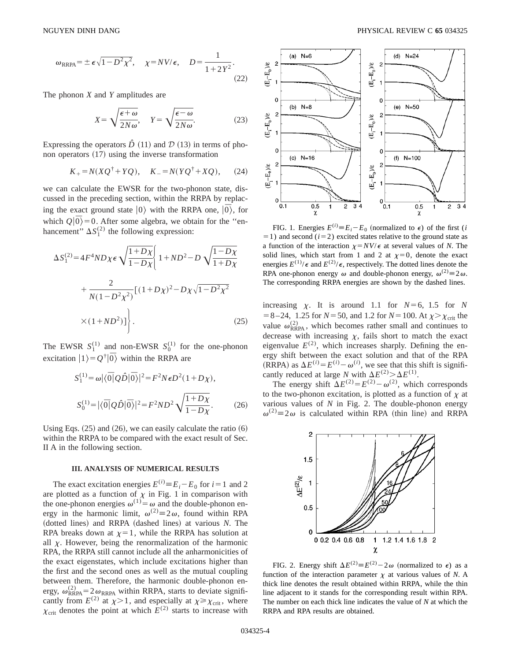$$
\omega_{\rm RRPA} = \pm \epsilon \sqrt{1 - D^2 \chi^2}, \quad \chi = NV/\epsilon, \quad D = \frac{1}{1 + 2Y^2}.
$$
\n(22)

The phonon *X* and *Y* amplitudes are

$$
X = \sqrt{\frac{\epsilon + \omega}{2N\omega}}, \quad Y = \sqrt{\frac{\epsilon - \omega}{2N\omega}}.
$$
 (23)

Expressing the operators  $\hat{D}$  (11) and  $\hat{D}$  (13) in terms of phonon operators  $(17)$  using the inverse transformation

$$
K_{+} = N(XQ^{\dagger} + YQ), \quad K_{-} = N(YQ^{\dagger} + XQ),
$$
 (24)

we can calculate the EWSR for the two-phonon state, discussed in the preceding section, within the RRPA by replacing the exact ground state  $|0\rangle$  with the RRPA one,  $|\overline{0}\rangle$ , for which  $Q|\overline{0}\rangle = 0$ . After some algebra, we obtain for the "enhancement"  $\Delta S_1^{(2)}$  the following expression:

$$
\Delta S_1^{(2)} = 4F^4 N D \chi \epsilon \sqrt{\frac{1 + D\chi}{1 - D\chi}} \left\{ 1 + N D^2 - D \sqrt{\frac{1 - D\chi}{1 + D\chi}} + \frac{2}{N(1 - D^2 \chi^2)} \left[ (1 + D\chi)^2 - D\chi \sqrt{1 - D^2 \chi^2} \right] \times (1 + N D^2) \right\}.
$$
\n(25)

The EWSR  $S_1^{(1)}$  and non-EWSR  $S_0^{(1)}$  for the one-phonon excitation  $|1\rangle = Q^{\dagger}|\overline{0}\rangle$  within the RRPA are

$$
S_1^{(1)} = \omega |\langle \overline{0} | \mathcal{Q} \hat{D} | \overline{0} \rangle|^2 = F^2 N \epsilon D^2 (1 + D \chi),
$$
  

$$
S_0^{(1)} = |\langle \overline{0} | \mathcal{Q} \hat{D} | \overline{0} \rangle|^2 = F^2 N D^2 \sqrt{\frac{1 + D \chi}{1 - D \chi}}.
$$
 (26)

Using Eqs.  $(25)$  and  $(26)$ , we can easily calculate the ratio  $(6)$ within the RRPA to be compared with the exact result of Sec. II A in the following section.

# **III. ANALYSIS OF NUMERICAL RESULTS**

The exact excitation energies  $E^{(i)} \equiv E_i - E_0$  for  $i = 1$  and 2 are plotted as a function of  $\chi$  in Fig. 1 in comparison with the one-phonon energies  $\omega^{(1)} = \omega$  and the double-phonon energy in the harmonic limit,  $\omega^{(2)} \equiv 2\omega$ , found within RPA (dotted lines) and RRPA (dashed lines) at various *N*. The RPA breaks down at  $\chi=1$ , while the RRPA has solution at all  $\chi$ . However, being the renormalization of the harmonic RPA, the RRPA still cannot include all the anharmonicities of the exact eigenstates, which include excitations higher than the first and the second ones as well as the mutual coupling between them. Therefore, the harmonic double-phonon energy,  $\omega_{\text{RRPA}}^{(2)} = 2 \omega_{\text{RRPA}}$  within RRPA, starts to deviate significantly from  $E^{(2)}$  at  $\chi > 1$ , and especially at  $\chi \ge \chi_{\text{crit}}$ , where  $\chi_{\text{crit}}$  denotes the point at which  $E^{(2)}$  starts to increase with



FIG. 1. Energies  $E^{(i)} \equiv E_i - E_0$  (normalized to  $\epsilon$ ) of the first (*i*  $(1)$  and second  $(i=2)$  excited states relative to the ground state as a function of the interaction  $\chi = NV/\epsilon$  at several values of *N*. The solid lines, which start from 1 and 2 at  $\chi=0$ , denote the exact energies  $E^{(1)}/\epsilon$  and  $E^{(2)}/\epsilon$ , respectively. The dotted lines denote the RPA one-phonon energy  $\omega$  and double-phonon energy,  $\omega^{(2)} \equiv 2\omega$ . The corresponding RRPA energies are shown by the dashed lines.

increasing  $\chi$ . It is around 1.1 for  $N=6$ , 1.5 for *N*  $= 8 - 24$ , 1.25 for *N* = 50, and 1.2 for *N* = 100. At  $\chi > \chi$ <sub>crit</sub> the value  $\omega_{RRPA}^{(2)}$ , which becomes rather small and continues to decrease with increasing  $\chi$ , fails short to match the exact eigenvalue  $E^{(2)}$ , which increases sharply. Defining the energy shift between the exact solution and that of the RPA  $(RRPA)$  as  $\Delta E^{(i)} = E^{(i)} - \omega^{(i)}$ , we see that this shift is significantly reduced at large *N* with  $\Delta E^{(2)} > \Delta E^{(1)}$ .

The energy shift  $\Delta E^{(2)} = E^{(2)} - \omega^{(2)}$ , which corresponds to the two-phonon excitation, is plotted as a function of  $\chi$  at various values of *N* in Fig. 2. The double-phonon energy  $\omega^{(2)} \equiv 2\omega$  is calculated within RPA (thin line) and RRPA



FIG. 2. Energy shift  $\Delta E^{(2)} = E^{(2)} - 2\omega$  (normalized to  $\epsilon$ ) as a function of the interaction parameter  $\chi$  at various values of *N*. A thick line denotes the result obtained within RRPA, while the thin line adjacent to it stands for the corresponding result within RPA. The number on each thick line indicates the value of *N* at which the RRPA and RPA results are obtained.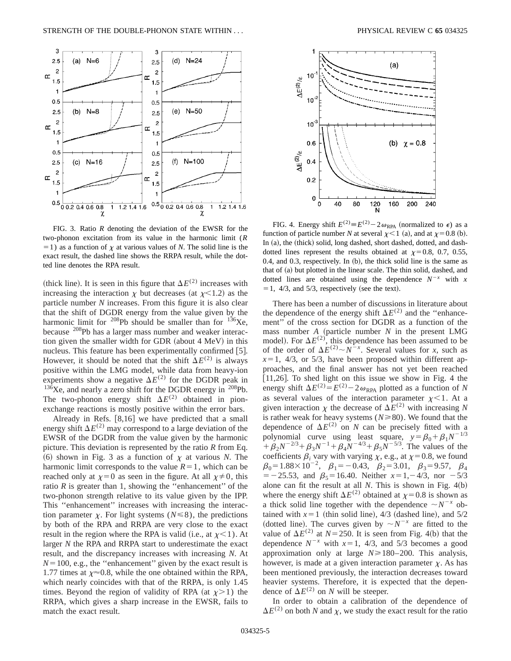

FIG. 3. Ratio *R* denoting the deviation of the EWSR for the two-phonon excitation from its value in the harmonic limit (*R*  $=1$ ) as a function of  $\chi$  at various values of *N*. The solid line is the exact result, the dashed line shows the RRPA result, while the dotted line denotes the RPA result.

(thick line). It is seen in this figure that  $\Delta E^{(2)}$  increases with increasing the interaction  $\chi$  but decreases (at  $\chi$ <1.2) as the particle number *N* increases. From this figure it is also clear that the shift of DGDR energy from the value given by the harmonic limit for <sup>208</sup>Pb should be smaller than for  $136$ Xe, because 208Pb has a larger mass number and weaker interaction given the smaller width for GDR (about 4 MeV) in this nucleus. This feature has been experimentally confirmed  $[5]$ . However, it should be noted that the shift  $\Delta E^{(2)}$  is always positive within the LMG model, while data from heavy-ion experiments show a negative  $\Delta E^{(2)}$  for the DGDR peak in  $^{13\bar{6}}$ Xe, and nearly a zero shift for the DGDR energy in  $^{208}$ Pb. The two-phonon energy shift  $\Delta E^{(2)}$  obtained in pionexchange reactions is mostly positive within the error bars.

Already in Refs.  $[8,16]$  we have predicted that a small energy shift  $\Delta E^{(2)}$  may correspond to a large deviation of the EWSR of the DGDR from the value given by the harmonic picture. This deviation is represented by the ratio *R* from Eq.  $(6)$  shown in Fig. 3 as a function of  $\chi$  at various *N*. The harmonic limit corresponds to the value  $R=1$ , which can be reached only at  $\chi=0$  as seen in the figure. At all  $\chi\neq0$ , this ratio  $R$  is greater than 1, showing the "enhancement" of the two-phonon strength relative to its value given by the IPP. This ''enhancement'' increases with increasing the interaction parameter  $\chi$ . For light systems ( $N \le 8$ ), the predictions by both of the RPA and RRPA are very close to the exact result in the region where the RPA is valid (i.e., at  $\chi$  < 1). At larger *N* the RPA and RRPA start to underestimate the exact result, and the discrepancy increases with increasing *N*. At  $N=100$ , e.g., the "enhancement" given by the exact result is 1.77 times at  $\chi \approx 0.8$ , while the one obtained within the RPA, which nearly coincides with that of the RRPA, is only 1.45 times. Beyond the region of validity of RPA (at  $\chi$ >1) the RRPA, which gives a sharp increase in the EWSR, fails to match the exact result.



FIG. 4. Energy shift  $E^{(2)} \equiv E^{(2)} - 2\omega_{RPA}$  (normalized to  $\epsilon$ ) as a function of particle number *N* at several  $\chi$  < 1 (a), and at  $\chi$  = 0.8 (b). In (a), the (thick) solid, long dashed, short dashed, dotted, and dashdotted lines represent the results obtained at  $\chi=0.8$ , 0.7, 0.55, 0.4, and 0.3, respectively. In  $(b)$ , the thick solid line is the same as that of  $(a)$  but plotted in the linear scale. The thin solid, dashed, and dotted lines are obtained using the dependence  $N^{-x}$  with *x*  $= 1, 4/3,$  and  $5/3$ , respectively (see the text).

There has been a number of discussions in literature about the dependence of the energy shift  $\Delta E^{(2)}$  and the "enhancement'' of the cross section for DGDR as a function of the mass number  $A$  (particle number  $N$  in the present LMG model). For  $\Delta E^{(2)}$ , this dependence has been assumed to be of the order of  $\Delta E^{(2)} \sim N^{-x}$ . Several values for *x*, such as  $x=1$ , 4/3, or 5/3, have been proposed within different approaches, and the final answer has not yet been reached [11,26]. To shed light on this issue we show in Fig. 4 the energy shift  $\Delta E^{(2)} = E^{(2)} - 2 \omega_{RPA}$  plotted as a function of *N* as several values of the interaction parameter  $\chi$  < 1. At a given interaction  $\chi$  the decrease of  $\Delta E^{(2)}$  with increasing *N* is rather weak for heavy systems ( $N \ge 80$ ). We found that the dependence of  $\Delta E^{(2)}$  on *N* can be precisely fitted with a polynomial curve using least square,  $y = \beta_0 + \beta_1 N^{-1/3}$  $+\beta_2N^{-2/3}+\beta_3N^{-1}+\beta_4N^{-4/3}+\beta_5N^{-5/3}$ . The values of the coefficients  $\beta_i$  vary with varying  $\chi$ , e.g., at  $\chi$ =0.8, we found  $\beta_0=1.88\times10^{-2}$ ,  $\beta_1=-0.43$ ,  $\beta_2=3.01$ ,  $\beta_3=9.57$ ,  $\beta_4$  $=$  -25.53, and  $\beta_5$ =16.40. Neither  $x=1, -4/3$ , nor -5/3 alone can fit the result at all  $N$ . This is shown in Fig.  $4(b)$ where the energy shift  $\Delta E^{(2)}$  obtained at  $\chi=0.8$  is shown as a thick solid line together with the dependence  $\sim N^{-x}$  obtained with  $x=1$  (thin solid line), 4/3 (dashed line), and  $5/2$ (dotted line). The curves given by  $\sim N^{-x}$  are fitted to the value of  $\Delta E^{(2)}$  at *N* = 250. It is seen from Fig. 4(b) that the dependence  $N^{-x}$  with  $x=1$ , 4/3, and 5/3 becomes a good approximation only at large  $N \ge 180-200$ . This analysis, however, is made at a given interaction parameter  $\chi$ . As has been mentioned previously, the interaction decreases toward heavier systems. Therefore, it is expected that the dependence of  $\Delta E^{(2)}$  on *N* will be steeper.

In order to obtain a calibration of the dependence of  $\Delta E^{(2)}$  on both *N* and *x*, we study the exact result for the ratio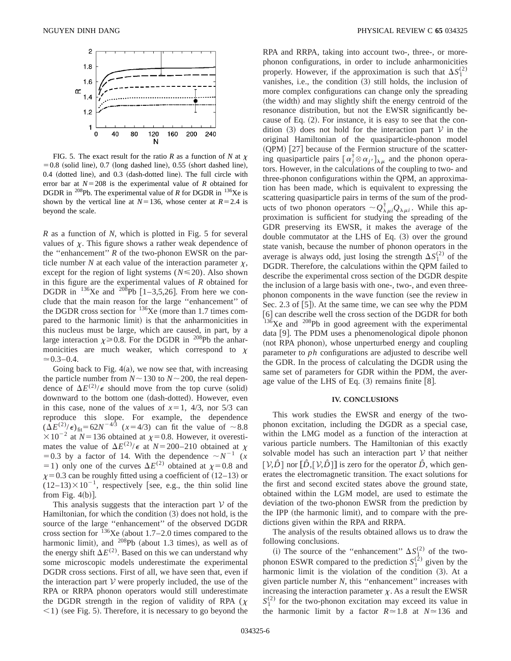

FIG. 5. The exact result for the ratio *R* as a function of *N* at  $\chi$  $=0.8$  (solid line), 0.7 (long dashed line), 0.55 (short dashed line),  $0.4$  (dotted line), and  $0.3$  (dash-dotted line). The full circle with error bar at  $N=208$  is the experimental value of *R* obtained for DGDR in <sup>208</sup>Pb. The experimental value of *R* for DGDR in <sup>136</sup>Xe is shown by the vertical line at  $N=136$ , whose center at  $R=2.4$  is beyond the scale.

*R* as a function of *N*, which is plotted in Fig. 5 for several values of  $\chi$ . This figure shows a rather weak dependence of the ''enhancement'' *R* of the two-phonon EWSR on the particle number  $N$  at each value of the interaction parameter  $\chi$ , except for the region of light systems  $(N \le 20)$ . Also shown in this figure are the experimental values of *R* obtained for DGDR in  $^{136}$ Xe and  $^{208}$ Pb [1–3,5,26]. From here we conclude that the main reason for the large ''enhancement'' of the DGDR cross section for  $^{136}$ Xe (more than 1.7 times compared to the harmonic limit) is that the anharmonicities in this nucleus must be large, which are caused, in part, by a large interaction  $\chi \ge 0.8$ . For the DGDR in <sup>208</sup>Pb the anharmonicities are much weaker, which correspond to  $\chi$  $\simeq 0.3-0.4$ .

Going back to Fig.  $4(a)$ , we now see that, with increasing the particle number from  $N \sim 130$  to  $N \sim 200$ , the real dependence of  $\Delta E^{(2)}$ / $\epsilon$  should move from the top curve (solid) downward to the bottom one (dash-dotted). However, even in this case, none of the values of  $x=1$ , 4/3, nor 5/3 can reproduce this slope. For example, the dependence  $(\Delta E^{(2)}/\epsilon)_{\text{fit}} = 62N^{-4/3}$  (*x* = 4/3) can fit the value of ~8.8  $\times 10^{-2}$  at *N*=136 obtained at  $\chi$ =0.8. However, it overestimates the value of  $\Delta E^{(2)}/\epsilon$  at  $N=200-210$  obtained at  $\chi$ =0.3 by a factor of 14. With the dependence  $\sim N^{-1}$  (*x* =1) only one of the curves  $\Delta E^{(2)}$  obtained at  $\chi$ =0.8 and  $x=0.3$  can be roughly fitted using a coefficient of  $(12-13)$  or  $(12-13)\times10^{-1}$ , respectively [see, e.g., the thin solid line from Fig.  $4(b)$ ].

This analysis suggests that the interaction part  $V$  of the Hamiltonian, for which the condition  $(3)$  does not hold, is the source of the large ''enhancement'' of the observed DGDR cross section for  $136Xe$  (about 1.7–2.0 times compared to the harmonic limit), and  $^{208}Pb$  (about 1.3 times), as well as of the energy shift  $\Delta E^{(2)}$ . Based on this we can understand why some microscopic models underestimate the experimental DGDR cross sections. First of all, we have seen that, even if the interaction part  $V$  were properly included, the use of the RPA or RRPA phonon operators would still underestimate the DGDR strength in the region of validity of RPA ( $\chi$  $\leq$ 1) (see Fig. 5). Therefore, it is necessary to go beyond the RPA and RRPA, taking into account two-, three-, or morephonon configurations, in order to include anharmonicities properly. However, if the approximation is such that  $\Delta S_1^{(2)}$ vanishes, i.e., the condition (3) still holds, the inclusion of more complex configurations can change only the spreading (the width) and may slightly shift the energy centroid of the resonance distribution, but not the EWSR significantly because of Eq.  $(2)$ . For instance, it is easy to see that the condition  $(3)$  does not hold for the interaction part V in the original Hamiltonian of the quasiparticle-phonon model  $(QPM)$  [27] because of the Fermion structure of the scattering quasiparticle pairs  $\left[ \alpha_j^{\dagger} \otimes \alpha_{j'} \right]_{\lambda \mu}$  and the phonon operators. However, in the calculations of the coupling to two- and three-phonon configurations within the QPM, an approximation has been made, which is equivalent to expressing the scattering quasiparticle pairs in terms of the sum of the products of two phonon operators  $\sim Q_{\lambda\mu i}^{\dagger} Q_{\lambda\mu i}$ . While this approximation is sufficient for studying the spreading of the GDR preserving its EWSR, it makes the average of the double commutator at the LHS of Eq.  $(3)$  over the ground state vanish, because the number of phonon operators in the average is always odd, just losing the strength  $\Delta S_1^{(2)}$  of the DGDR. Therefore, the calculations within the QPM failed to describe the experimental cross section of the DGDR despite the inclusion of a large basis with one-, two-, and even threephonon components in the wave function (see the review in Sec. 2.3 of  $[5]$ . At the same time, we can see why the PDM [6] can describe well the cross section of the DGDR for both  $136Xe$  and  $208Pb$  in good agreement with the experimental data  $[9]$ . The PDM uses a phenomenological dipole phonon (not RPA phonon), whose unperturbed energy and coupling parameter to *ph* configurations are adjusted to describe well the GDR. In the process of calculating the DGDR using the same set of parameters for GDR within the PDM, the average value of the LHS of Eq.  $(3)$  remains finite  $[8]$ .

### **IV. CONCLUSIONS**

This work studies the EWSR and energy of the twophonon excitation, including the DGDR as a special case, within the LMG model as a function of the interaction at various particle numbers. The Hamiltonian of this exactly solvable model has such an interaction part  $V$  that neither  $[V, \hat{D}]$  nor  $[\hat{D}, [V, \hat{D}]]$  is zero for the operator  $\hat{D}$ , which generates the electromagnetic transition. The exact solutions for the first and second excited states above the ground state, obtained within the LGM model, are used to estimate the deviation of the two-phonon EWSR from the prediction by the IPP (the harmonic limit), and to compare with the predictions given within the RPA and RRPA.

The analysis of the results obtained allows us to draw the following conclusions.

(i) The source of the "enhancement"  $\Delta S_{1}^{(2)}$  of the twophonon ESWR compared to the prediction  $S_1^{(2)}$  given by the harmonic limit is the violation of the condition  $(3)$ . At a given particle number *N*, this ''enhancement'' increases with increasing the interaction parameter  $\chi$ . As a result the EWSR  $S_1^{(2)}$  for the two-phonon excitation may exceed its value in the harmonic limit by a factor  $R \approx 1.8$  at  $N \approx 136$  and